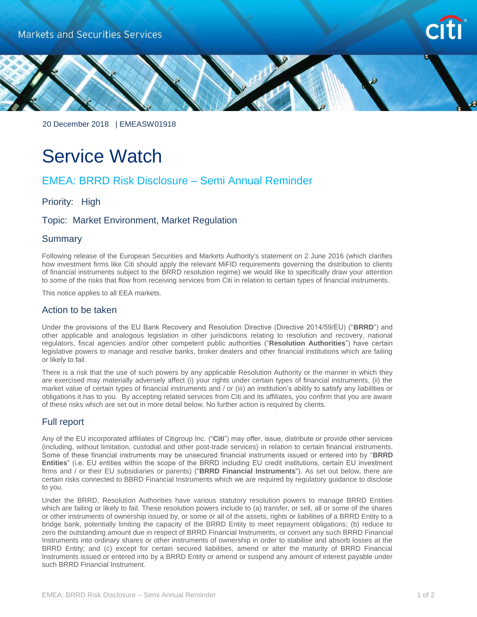



20 December 2018 | EMEASW01918

# Service Watch

# EMEA: BRRD Risk Disclosure – Semi Annual Reminder

Priority: High

# Topic: Market Environment, Market Regulation

#### **Summary**

Following release of the European Securities and Markets Authority's statement on 2 June 2016 (which clarifies how investment firms like Citi should apply the relevant MiFID requirements governing the distribution to clients of financial instruments subject to the BRRD resolution regime) we would like to specifically draw your attention to some of the risks that flow from receiving services from Citi in relation to certain types of financial instruments.

This notice applies to all EEA markets.

#### Action to be taken

Under the provisions of the EU Bank Recovery and Resolution Directive (Directive 2014/59/EU) ("**BRRD**") and other applicable and analogous legislation in other jurisdictions relating to resolution and recovery, national regulators, fiscal agencies and/or other competent public authorities ("**Resolution Authorities**") have certain legislative powers to manage and resolve banks, broker dealers and other financial institutions which are failing or likely to fail.

There is a risk that the use of such powers by any applicable Resolution Authority or the manner in which they are exercised may materially adversely affect (i) your rights under certain types of financial instruments, (ii) the market value of certain types of financial instruments and / or (iii) an institution's ability to satisfy any liabilities or obligations it has to you. By accepting related services from Citi and its affiliates, you confirm that you are aware of these risks which are set out in more detail below. No further action is required by clients.

# Full report

Any of the EU incorporated affiliates of Citigroup Inc. ("**Citi**") may offer, issue, distribute or provide other services (including, without limitation, custodial and other post-trade services) in relation to certain financial instruments. Some of these financial instruments may be unsecured financial instruments issued or entered into by "**BRRD Entities**" (i.e. EU entities within the scope of the BRRD including EU credit institutions, certain EU investment firms and / or their EU subsidiaries or parents) ("**BRRD Financial Instruments**"). As set out below, there are certain risks connected to BBRD Financial Instruments which we are required by regulatory guidance to disclose to you.

Under the BRRD, Resolution Authorities have various statutory resolution powers to manage BRRD Entities which are failing or likely to fail. These resolution powers include to (a) transfer, or sell, all or some of the shares or other instruments of ownership issued by, or some or all of the assets, rights or liabilities of a BRRD Entity to a bridge bank, potentially limiting the capacity of the BRRD Entity to meet repayment obligations; (b) reduce to zero the outstanding amount due in respect of BRRD Financial Instruments, or convert any such BRRD Financial Instruments into ordinary shares or other instruments of ownership in order to stabilise and absorb losses at the BRRD Entity; and (c) except for certain secured liabilities, amend or alter the maturity of BRRD Financial Instruments issued or entered into by a BRRD Entity or amend or suspend any amount of interest payable under such BRRD Financial Instrument.